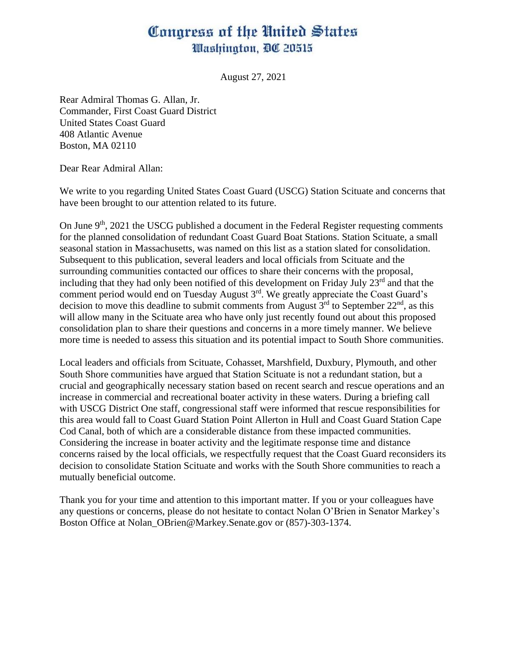## Congress of the United States Washington, DC 20515

August 27, 2021

Rear Admiral Thomas G. Allan, Jr. Commander, First Coast Guard District United States Coast Guard 408 Atlantic Avenue Boston, MA 02110

Dear Rear Admiral Allan:

We write to you regarding United States Coast Guard (USCG) Station Scituate and concerns that have been brought to our attention related to its future.

On June  $9<sup>th</sup>$ , 2021 the USCG published a document in the Federal Register requesting comments for the planned consolidation of redundant Coast Guard Boat Stations. Station Scituate, a small seasonal station in Massachusetts, was named on this list as a station slated for consolidation. Subsequent to this publication, several leaders and local officials from Scituate and the surrounding communities contacted our offices to share their concerns with the proposal, including that they had only been notified of this development on Friday July  $23<sup>rd</sup>$  and that the comment period would end on Tuesday August  $3<sup>rd</sup>$ . We greatly appreciate the Coast Guard's decision to move this deadline to submit comments from August  $3<sup>rd</sup>$  to September  $22<sup>nd</sup>$ , as this will allow many in the Scituate area who have only just recently found out about this proposed consolidation plan to share their questions and concerns in a more timely manner. We believe more time is needed to assess this situation and its potential impact to South Shore communities.

Local leaders and officials from Scituate, Cohasset, Marshfield, Duxbury, Plymouth, and other South Shore communities have argued that Station Scituate is not a redundant station, but a crucial and geographically necessary station based on recent search and rescue operations and an increase in commercial and recreational boater activity in these waters. During a briefing call with USCG District One staff, congressional staff were informed that rescue responsibilities for this area would fall to Coast Guard Station Point Allerton in Hull and Coast Guard Station Cape Cod Canal, both of which are a considerable distance from these impacted communities. Considering the increase in boater activity and the legitimate response time and distance concerns raised by the local officials, we respectfully request that the Coast Guard reconsiders its decision to consolidate Station Scituate and works with the South Shore communities to reach a mutually beneficial outcome.

Thank you for your time and attention to this important matter. If you or your colleagues have any questions or concerns, please do not hesitate to contact Nolan O'Brien in Senator Markey's Boston Office at Nolan OBrien@Markey.Senate.gov or (857)-303-1374.